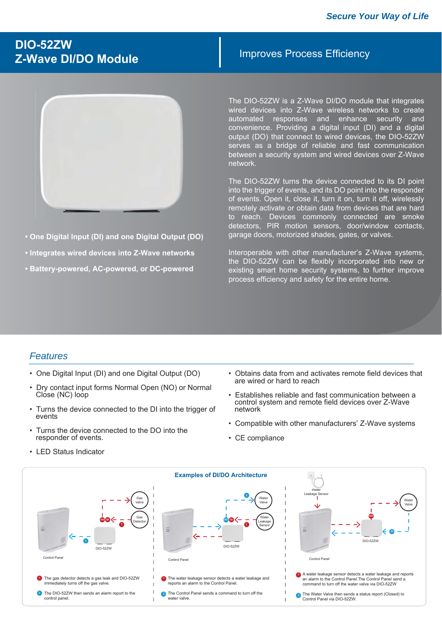### **DIO-52ZW Z-Wave DI/DO Module**



- **One Digital Input (DI) and one Digital Output (DO)**
- **Integrates wired devices into Z-Wave networks**
- **Battery-powered, AC-powered, or DC-powered**

#### Improves Process Efficiency

The DIO-52ZW is a Z-Wave DI/DO module that integrates wired devices into Z-Wave wireless networks to create automated responses and enhance security and convenience. Providing a digital input (DI) and a digital output (DO) that connect to wired devices, the DIO-52ZW serves as a bridge of reliable and fast communication between a security system and wired devices over Z-Wave network.

The DIO-52ZW turns the device connected to its DI point into the trigger of events, and its DO point into the responder of events. Open it, close it, turn it on, turn it off, wirelessly remotely activate or obtain data from devices that are hard to reach. Devices commonly connected are smoke detectors, PIR motion sensors, door/window contacts, garage doors, motorized shades, gates, or valves.

Interoperable with other manufacturer's Z-Wave systems, the DIO-52ZW can be flexibly incorporated into new or existing smart home security systems, to further improve process efficiency and safety for the entire home.

#### *Features*

- One Digital Input (DI) and one Digital Output (DO)
- Dry contact input forms Normal Open (NO) or Normal Close (NC) loop
- Turns the device connected to the DI into the trigger of events
- Turns the device connected to the DO into the responder of events.
- LED Status Indicator
- Obtains data from and activates remote field devices that are wired or hard to reach
- Establishes reliable and fast communication between a control system and remote field devices over Z-Wave network
- Compatible with other manufacturers' Z-Wave systems
- CE compliance